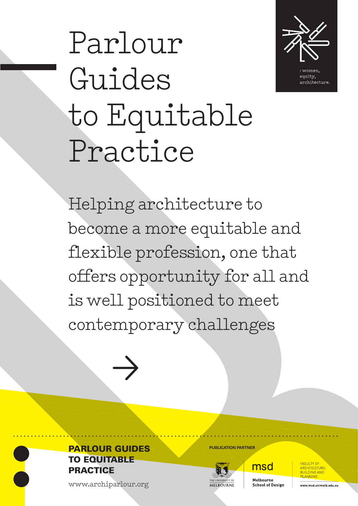



Helping architecture to become a more equitable and flexible profession, one that offers opportunity for all and is well positioned to meet contemporary challenges





www.archiparlour.org



msd

**Malhourne School of Design**  ARCHITECTURE **ANNING** 

www.msd.unimelh.edu.au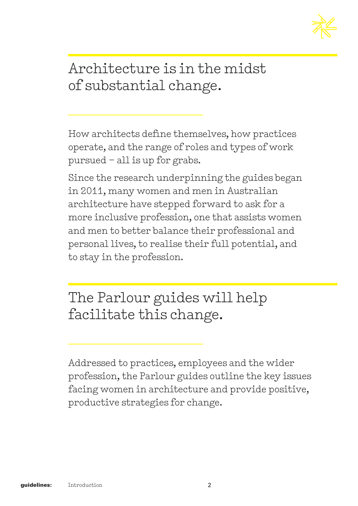

## Architecture is in the midst of substantial change.

How architects define themselves, how practices operate, and the range of roles and types of work pursued – all is up for grabs.

Since the research underpinning the guides began in 2011, many women and men in Australian architecture have stepped forward to ask for a more inclusive profession, one that assists women and men to better balance their professional and personal lives, to realise their full potential, and to stay in the profession.

The Parlour guides will help facilitate this change.

Addressed to practices, employees and the wider profession, the Parlour guides outline the key issues facing women in architecture and provide positive, productive strategies for change.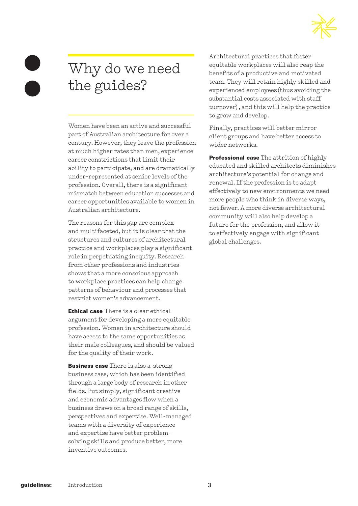

# Why do we need the guides?

Women have been an active and successful part of Australian architecture for over a century. However, they leave the profession at much higher rates than men, experience career constrictions that limit their ability to participate, and are dramatically under-represented at senior levels of the profession. Overall, there is a significant mismatch between education successes and career opportunities available to women in Australian architecture.

The reasons for this gap are complex and multifaceted, but it is clear that the structures and cultures of architectural practice and workplaces play a significant role in perpetuating inequity. Research from other professions and industries shows that a more conscious approach to workplace practices can help change patterns of behaviour and processes that restrict women's advancement.

Ethical case There is a clear ethical argument for developing a more equitable profession. Women in architecture should have access to the same opportunities as their male colleagues, and should be valued for the quality of their work.

**Business case** There is also a strong business case, which has been identified through a large body of research in other fields. Put simply, significant creative and economic advantages flow when a business draws on a broad range of skills, perspectives and expertise. Well-managed teams with a diversity of experience and expertise have better problemsolving skills and produce better, more inventive outcomes.

Architectural practices that foster equitable workplaces will also reap the benefits of a productive and motivated team. They will retain highly skilled and experienced employees (thus avoiding the substantial costs associated with staff turnover) , and this will help the practice to grow and develop.

Finally, practices will better mirror client groups and have better access to wider networks.

Professional case The attrition of highly educated and skilled architects diminishes architecture's potential for change and renewal. If the profession is to adapt effectively to new environments we need more people who think in diverse ways, not fewer. A more diverse architectural community will also help develop a future for the profession, and allow it to effectively engage with significant global challenges.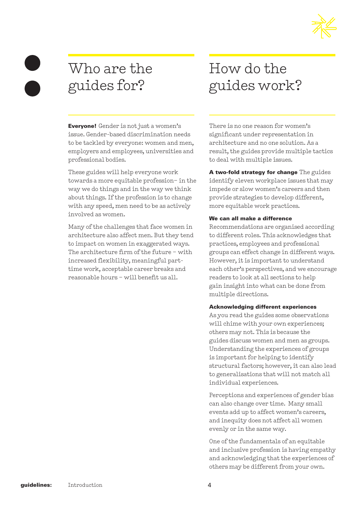

# Who are the guides for?

Everyone! Gender is not just a women's issue. Gender-based discrimination needs to be tackled by everyone: women and men, employers and employees, universities and professional bodies.

These guides will help everyone work towards a more equitable profession– in the way we do things and in the way we think about things. If the profession is to change with any speed, men need to be as actively involved as women.

Many of the challenges that face women in architecture also affect men. But they tend to impact on women in exaggerated ways. The architecture firm of the future – with increased flexibility, meaningful parttime work, acceptable career breaks and reasonable hours – will benefit us all.

# How do the guides work?

There is no one reason for women's significant under representation in architecture and no one solution. As a result, the guides provide multiple tactics to deal with multiple issues.

A two-fold strategy for change The guides identify eleven workplace issues that may impede or slow women's careers and then provide strategies to develop different, more equitable work practices.

### We can all make a difference

Recommendations are organised according to different roles. This acknowledges that practices, employees and professional groups can effect change in different ways. However, it is important to understand each other's perspectives, and we encourage readers to look at all sections to help gain insight into what can be done from multiple directions.

### Acknowledging different experiences

As you read the guides some observations will chime with your own experiences; others may not. This is because the guides discuss women and men as groups. Understanding the experiences of groups is important for helping to identify structural factors; however, it can also lead to generalisations that will not match all individual experiences.

Perceptions and experiences of gender bias can also change over time. Many small events add up to affect women's careers, and inequity does not affect all women evenly or in the same way.

One of the fundamentals of an equitable and inclusive profession is having empathy and acknowledging that the experiences of others may be different from your own.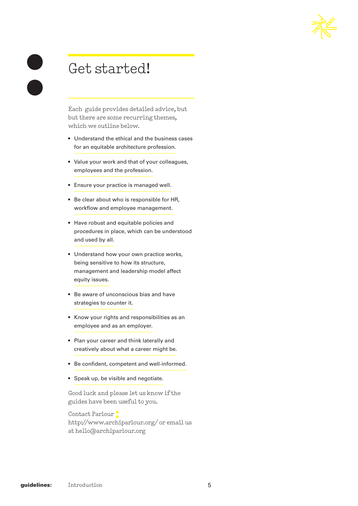

## Get started!

Each guide provides detailed advice, but but there are some recurring themes, which we outline below.

- Understand the ethical and the business cases for an equitable architecture profession.
- Value your work and that of your colleagues, employees and the profession.
- Ensure your practice is managed well.
- Be clear about who is responsible for HR, workflow and employee management.
- Have robust and equitable policies and procedures in place, which can be understood and used by all.
- Understand how your own practice works, being sensitive to how its structure, management and leadership model affect equity issues.
- Be aware of unconscious bias and have strategies to counter it.
- Know your rights and responsibilities as an employee and as an employer.
- Plan your career and think laterally and creatively about what a career might be.
- Be confident, competent and well-informed.
- Speak up, be visible and negotiate.

Good luck and please let us know if the guides have been useful to you.

Contact Parlour **:** http://www.archiparlour.org/ or email us at hello@archiparlour.org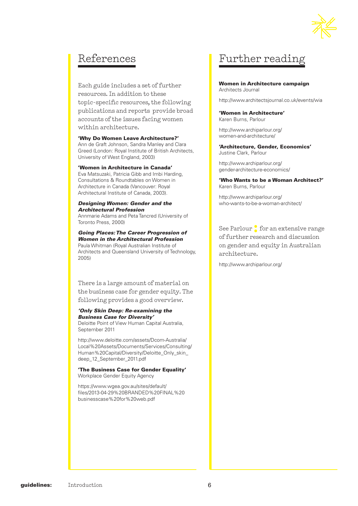

## References

Each guide includes a set of further resources. In addition to these topic-specific resources, the following publications and reports provide broad accounts of the issues facing women within architecture.

'Why Do Women Leave Architecture?' Ann de Graft Johnson, Sandra Manley and Clara Greed (London: Royal Institute of British Architects, University of West England, 2003)

### 'Women in Architecture in Canada'

Eva Matsuzaki, Patricia Gibb and Imbi Harding, Consultations & Roundtables on Women in Architecture in Canada (Vancouver: Royal Architectural Institute of Canada, 2003).

### *Designing Women: Gender and the Architectural Profession*

Annmarie Adams and Peta Tancred (University of Toronto Press, 2000)

### *Going Places: The Career Progression of Women in the Architectural Profession*

Paula Whitman (Royal Australian Institute of Architects and Queensland University of Technology, 2005)

There is a large amount of material on the business case for gender equity. The following provides a good overview.

### *'Only Skin Deep: Re-examining the Business Case for Diversity'*

Deloitte Point of View Human Capital Australia, September 2011

http://www.deloitte.com/assets/Dcom-Australia/ Local%20Assets/Documents/Services/Consulting/ Human%20Capital/Diversity/Deloitte\_Only\_skin\_ deep\_12\_September\_2011.pdf

'The Business Case for Gender Equality' Workplace Gender Equity Agency

https://www.wgea.gov.au/sites/default/ files/2013-04-29%20BRANDED%20FINAL%20 businesscase%20for%20web.pdf

## Further reading

Women in Architecture campaign Architects Journal

http://www.architectsjournal.co.uk/events/wia

'Women in Architecture' Karen Burns, Parlour

http://www.archiparlour.org/ women-and-architecture/

'Architecture, Gender, Economics' Justine Clark, Parlour

http://www.archiparlour.org/ gender-architecture-economics/

'Who Wants to be a Woman Architect?' Karen Burns, Parlour

http://www.archiparlour.org/ who-wants-to-be-a-woman-architect/

See Parlour **:** for an extensive range of further research and discussion on gender and equity in Australian architecture.

http://www.archiparlour.org/